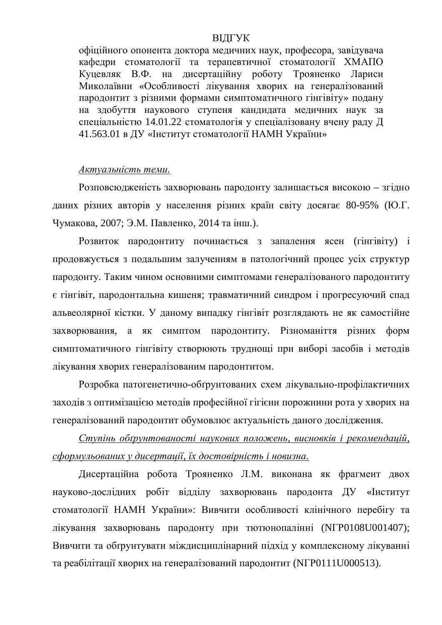## ВІДГУК

офіційного опонента доктора медичних наук, професора, завідувача кафелри стоматології та терапевтичної стоматології ХМАПО Куцевляк В.Ф. на дисертаційну роботу Трояненко Лариси Миколаївни «Особливості лікування хворих на генералізований пародонтит з різними формами симптоматичного гінгівіту» подану на здобуття наукового ступеня кандидата медичних наук за спеціальністю 14.01.22 стоматологія у спеціалізовану вчену раду Д 41.563.01 в ЛУ «Інститут стоматології НАМН України»

## $A$ ктуальність теми.

Розповсюдженість захворювань пародонту залишається високою – згідно даних різних авторів у населення різних країн світу досягає 80-95% (Ю.Г. Чумакова, 2007; Э.М. Павленко, 2014 та інш.).

Розвиток пародонтиту починається з запалення ясен (гінгівіту) і продовжується з подальшим залученням в патологічний процес усіх структур пародонту. Таким чином основними симптомами генералізованого пародонтиту є гінгівіт, пародонтальна кишеня; травматичний синдром і прогресуючий спад альвеолярної кістки. У даному випадку гінгівіт розглядають не як самостійне захворювання, а як симптом пародонтиту. Різноманіття різних форм симптоматичного гінгівіту створюють труднощі при виборі засобів і методів лікування хворих генералізованим пародонтитом.

Розробка патогенетично-обґрунтованих схем лікувально-профілактичних заходів з оптимізацією методів професійної гігієни порожнини рота у хворих на генералізований пародонтит обумовлює актуальність даного дослідження.

*ɋɬɭɩɿɧɶ ɨɛʉɪɭɧɬɨɜɚɧɨɫɬɿ ɧɚɭɤɨɜɢɯ ɩɨɥɨɠɟɧɶ, ɜɢɫɧɨɜɤɿɜ ɿ ɪɟɤɨɦɟɧɞɚɰɿɣ,*  $c\phi$ ормульованих у дисертації, їх достовірність і новизна.

Дисертаційна робота Трояненко Л.М. виконана як фрагмент двох науково-дослідних робіт відділу захворювань пародонта ДУ «Інститут стоматології НАМН України»: Вивчити особливості клінічного перебігу та лікування захворювань пародонту при тютюнопалінні (NГР0108U001407); Вивчити та обґрунтувати міждисциплінарний підхід у комплексному лікуванні та реабілітації хворих на генералізований пародонтит (NГР0111U000513).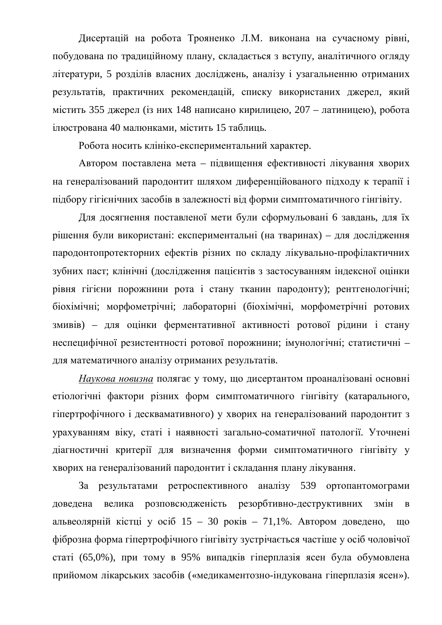Дисертацій на робота Трояненко Л.М. виконана на сучасному рівні, побудована по традиційному плану, складається з вступу, аналітичного огляду літератури, 5 розділів власних досліджень, аналізу і узагальненню отриманих результатів, практичних рекомендацій, списку використаних джерел, який містить 355 джерел (із них 148 написано кирилицею, 207 – латиницею), робота ілюстрована 40 малюнками, містить 15 таблиць.

Робота носить клініко-експериментальний характер.

Автором поставлена мета – підвищення ефективності лікування хворих на генералізований пародонтит шляхом диференційованого підходу к терапії і підбору гігієнічних засобів в залежності від форми симптоматичного гінгівіту.

Для досягнення поставленої мети були сформульовані 6 завдань, для їх рішення були використані: експериментальні (на тваринах) – лля дослідження пародонтопротекторних ефектів різних по складу лікувально-профілактичних зубних паст; клінічні (дослідження пацієнтів з застосуванням індексної оцінки рівня гігієни порожнини рота і стану тканин пародонту); рентгенологічні; біохімічні; морфометрічні; лабораторні (біохімічні, морфометрічні ротових змивів) – для оцінки ферментативної активності ротової рідини і стану неспецифічної резистентності ротової порожнини; імунологічні; статистичні для математичного аналізу отриманих результатів.

Наукова новизна полягає у тому, що дисертантом проаналізовані основні етіологічні фактори різних форм симптоматичного гінгівіту (катарального, гіпертрофічного і десквамативного) у хворих на генералізований пародонтит з урахуванням віку, статі і наявності загально-соматичної патології. Уточнені діагностичні критерії для визначення форми симптоматичного гінгівіту у хворих на генералізований пародонтит і складання плану лікування.

За результатами ретроспективного аналізу 539 ортопантомограми доведена велика розповсюдженість резорбтивно-деструктивних змін в альвеолярній кістці у осіб  $15 - 30$  років – 71,1%. Автором доведено, що фіброзна форма гіпертрофічного гінгівіту зустрічається частіше у осіб чоловічої статі (65,0%), при тому в 95% випадків гіперплазія ясен була обумовлена прийомом лікарських засобів («медикаментозно-індукована гіперплазія ясен»).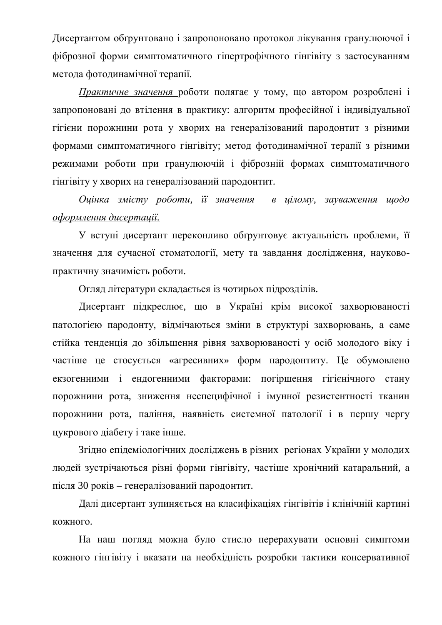Дисертантом обґрунтовано і запропоновано протокол лікування гранулюючої і фіброзної форми симптоматичного гіпертрофічного гінгівіту з застосуванням метода фотодинамічної терапії.

Практичне значення роботи полягає у тому, що автором розроблені і запропоновані до втілення в практику: алгоритм професійної і індивідуальної гігієни порожнини рота у хворих на генералізований пародонтит з різними формами симптоматичного гінгівіту; метол фотолинамічної терапії з різними режимами роботи при гранулюючій і фіброзній формах симптоматичного гінгівіту у хворих на генералізований пародонтит.

## *Ɉɰɿɧɤɚ ɡɦɿɫɬɭ ɪɨɛɨɬɢ, ʀʀ ɡɧɚɱɟɧɧɹ ɜ ɰɿɥɨɦɭ, ɡɚɭɜɚɠɟɧɧɹ ɳɨɞɨ*  $\alpha$ формлення дисертації.

У вступі лисертант переконливо обґрунтовує актуальність проблеми, її значення для сучасної стоматології, мету та завдання дослідження, науковопрактичну значимість роботи.

Огляд літератури складається із чотирьох підрозділів.

Дисертант підкреслює, що в Україні крім високої захворюваності патологією пародонту, відмічаються зміни в структурі захворювань, а саме стійка тенденція до збільшення рівня захворюваності у осіб молодого віку і частіше це стосується «агресивних» форм пародонтиту. Це обумовлено екзогенними і ендогенними факторами: погіршення гігієнічного стану порожнини рота, зниження неспецифічної і імунної резистентності тканин порожнини рота, паління, наявність системної патології і в першу чергу цукрового діабету і таке інше.

Згідно епідеміологічних досліджень в різних регіонах України у молодих людей зустрічаються різні форми гінгівіту, частіше хронічний катаральний, а після 30 років – генералізований пародонтит.

Далі дисертант зупиняється на класифікаціях гінгівітів і клінічній картині кожного.

На наш погляд можна було стисло перерахувати основні симптоми кожного гінгівіту і вказати на необхідність розробки тактики консервативної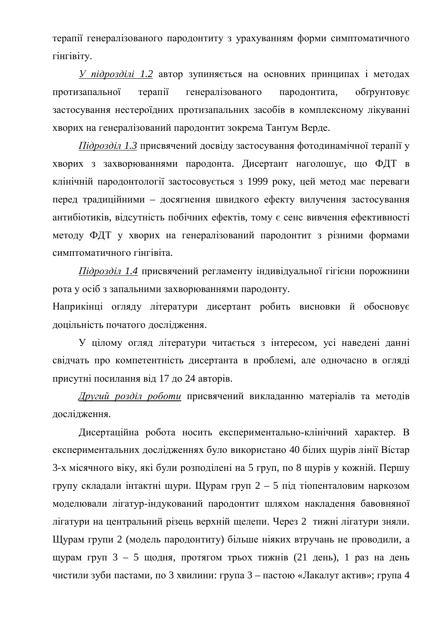терапії генералізованого пародонтиту з урахуванням форми симптоматичного гінгівіту.

*У підрозділі 1.2* автор зупиняється на основних принципах і методах протизапальної терапії генералізованого пародонтита, обґрунтовує застосування нестероїдних протизапальних засобів в комплексному лікуванні хворих на генералізований пародонтит зокрема Тантум Верде.

*Підрозділ 1.3* присвячений досвіду застосування фотодинамічної терапії у хворих з захворюваннями пародонта. Дисертант наголошує, що ФДТ в клінічній пародонтології застосовується з 1999 року, цей метод має переваги перед традиційними – досягнення швидкого ефекту вилучення застосування антибіотиків, відсутність побічних ефектів, тому є сенс вивчення ефективності методу ФДТ у хворих на генералізований пародонтит з різними формами симптоматичного гінгівіта.

*Підрозділ 1.4* присвячений регламенту індивідуальної гігієни порожнини рота у осіб з запальними захворюваннями пародонту.

Наприкінці огляду літератури дисертант робить висновки й обосновує доцільність початого дослідження.

У цілому огляд літератури читається з інтересом, усі наведені данні свідчать про компетентність дисертанта в проблемі, але одночасно в огляді присутні посилання від 17 до 24 авторів.

Другий розділ роботи присвячений викладанню матеріалів та методів дослідження.

Дисертаційна робота носить експериментально-клінічний характер. В експериментальних дослідженнях було використано 40 білих щурів лінії Вістар 3-х місячного віку, які були розподілені на 5 груп, по 8 щурів у кожній. Першу групу складали інтактні щури. Щурам груп 2 – 5 під тіопенталовим наркозом моделювали лігатур-індукований пародонтит шляхом накладення бавовняної лігатури на центральний різець верхній щелепи. Через 2 тижні лігатури зняли. Щурам групи 2 (модель пародонтиту) більше ніяких втручань не проводили, а щурам груп  $3 - 5$  щодня, протягом трьох тижнів (21 день), 1 раз на день чистили зуби пастами, по 3 хвилини: група 3 – пастою «Лакалут актив»; група 4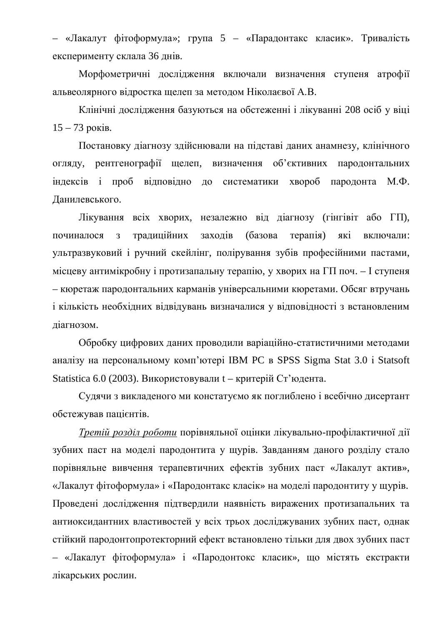«Лакалут фітоформула»; група 5 – «Парадонтакс класик». Тривалість експерименту склала 36 днів.

Морфометричні дослідження включали визначення ступеня атрофії альвеолярного відростка щелеп за методом Ніколаєвої А.В.

Клінічні дослідження базуються на обстеженні і лікуванні 208 осіб у віці  $15 - 73$  pokib.

Постановку діагнозу здійснювали на підставі даних анамнезу, клінічного огляду, рентгенографії щелеп, визначення об'єктивних пародонтальних індексів і проб відповідно до систематики хвороб пародонта М.Ф. Данилевського.

Лікування всіх хворих, незалежно від діагнозу (гінгівіт або ГП), починалося з традиційних заходів (базова терапія) які включали: ультразвуковий і ручний скейлінг, полірування зубів професійними пастами, місцеву антимікробну і протизапальну терапію, у хворих на ГП поч. – І ступеня – кюретаж пародонтальних карманів універсальними кюретами. Обсяг втручань і кількість необхідних відвідувань визначалися у відповідності з встановленим діагнозом.

Обробку цифрових даних проводили варіаційно-статистичними методами аналізу на персональному комп'ютері IBM PC в SPSS Sigma Stat 3.0 і Statsoft Statistica 6.0 (2003). Використовували  $t -$ критерій Ст'юдента.

Судячи з викладеного ми констатуємо як поглиблено і всебічно дисертант обстежував пацієнтів.

*Третій розділ роботи* порівняльної оцінки лікувально-профілактичної дії зубних паст на моделі пародонтита у щурів. Завданням даного розділу стало порівняльне вивчення терапевтичних ефектів зубних паст «Лакалут актив», «Лакалут фітоформула» і «Пародонтакс класік» на моделі пародонтиту у щурів. Проведені дослідження підтвердили наявність виражених протизапальних та антиоксидантних властивостей у всіх трьох досліджуваних зубних паст, однак стійкий пародонтопротекторний ефект встановлено тільки для двох зубних паст – «Лакалут фітоформула» і «Пародонтокс класик», що містять екстракти лікарських рослин.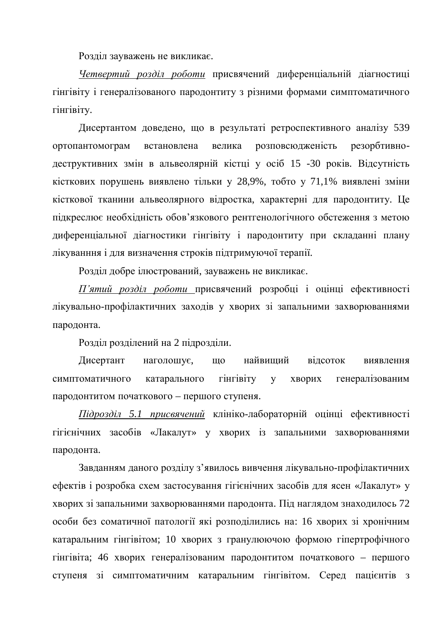Розділ зауважень не викликає.

Четвертий розділ роботи присвячений диференціальній діагностиці гінгівіту і генералізованого пародонтиту з різними формами симптоматичного гінгівіту.

Дисертантом доведено, що в результаті ретроспективного аналізу 539 ортопантомограм встановлена велика розповсю лженість резорбтивнодеструктивних змін в альвеолярній кістці у осіб 15 -30 років. Відсутність кісткових порушень виявлено тільки у 28,9%, тобто у 71,1% виявлені зміни кісткової тканини альвеолярного відростка, характерні для пародонтиту. Це підкреслює необхідність обов'язкового рентгенологічного обстеження з метою диференціальної діагностики гінгівіту і пародонтиту при складанні плану лікуванння і для визначення строків підтримуючої терапії.

Розділ добре ілюстрований, зауважень не викликає.

 $\Pi$ 'ятий розділ роботи присвячений розробці і оцінці ефективності лікувально-профілактичних заходів у хворих зі запальними захворюваннями пародонта.

Розділ розділений на 2 підрозділи.

Дисертант наголошує, що найвищий відсоток виявлення симптоматичного катарального гінгівіту у хворих генералізованим пародонтитом початкового – першого ступеня.

*Підрозділ 5.1 присвячений* клініко-лабораторній оцінці ефективності гігієнічних засобів «Лакалут» у хворих із запальними захворюваннями пародонта.

Завданням даного розділу з'явилось вивчення лікувально-профілактичних ефектів і розробка схем застосування гігієнічних засобів для ясен «Лакалут» у хворих зі запальними захворюваннями пародонта. Під наглядом знаходилось 72 особи без соматичної патології які розподілились на: 16 хворих зі хронічним катаральним гінгівітом; 10 хворих з гранулюючою формою гіпертрофічного гінгівіта; 46 хворих генералізованим пародонтитом початкового – першого ступеня зі симптоматичним катаральним гінгівітом. Серед пацієнтів з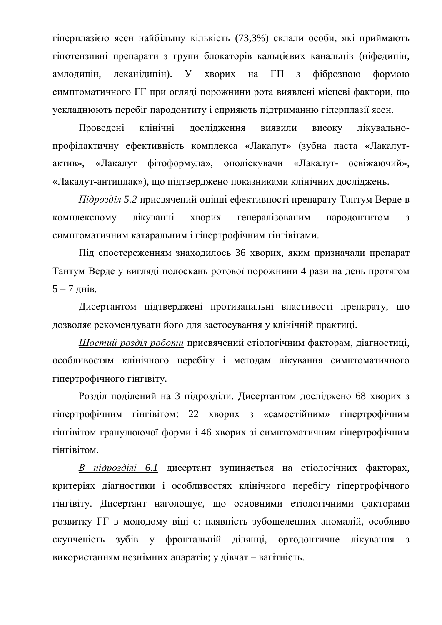гіперплазією ясен найбільшу кількість (73,3%) склали особи, які приймають гіпотензивні препарати з групи блокаторів кальцієвих канальців (ніфедипін, амлодипін, леканідипін). У хворих на ГП з фіброзною формою симптоматичного ГГ при огляді порожнини рота виявлені місцеві фактори, що ускладнюють перебіг пародонтиту і сприяють підтриманню гіперплазії ясен.

Проведені клінічні дослідження виявили високу лікувальнопрофілактичну ефективність комплекса «Лакалут» (зубна паста «Лакалутактив», «Лакалут фітоформула», ополіскувачи «Лакалут- освіжаючий», «Лакалут-антиплак»), що підтверджено показниками клінічних досліджень.

*Підрозділ 5.2* присвячений оцінці ефективності препарату Тантум Верде в комплексному лікуванні хворих генералізованим пародонтитом з симптоматичним катаральним і гіпертрофічним гінгівітами.

Під спостереженням знаходилось 36 хворих, яким призначали препарат Тантум Верде у вигляді полоскань ротової порожнини 4 рази на день протягом  $5 - 7$  днів.

Дисертантом підтверджені протизапальні властивості препарату, що дозволяє рекомендувати його для застосування у клінічній практиці.

Шостий розділ роботи присвячений етіологічним факторам, діагностиці, особливостям клінічного перебігу і методам лікування симптоматичного гіпертрофічного гінгівіту.

Розділ поділений на 3 підрозділи. Дисертантом досліджено 68 хворих з гіпертрофічним гінгівітом: 22 хворих з «самостійним» гіпертрофічним гінгівітом гранулюючої форми і 46 хворих зі симптоматичним гіпертрофічним гінгівітом.

*В підрозділі 6.1* дисертант зупиняється на етіологічних факторах, критеріях діагностики і особливостях клінічного перебігу гіпертрофічного гінгівіту. Дисертант наголошує, що основними етіологічними факторами розвитку ГГ в молодому віці є: наявність зубощелепних аномалій, особливо скупченість зубів у фронтальній ділянці, ортодонтичне лікування з використанням незнімних апаратів: у лівчат – вагітність.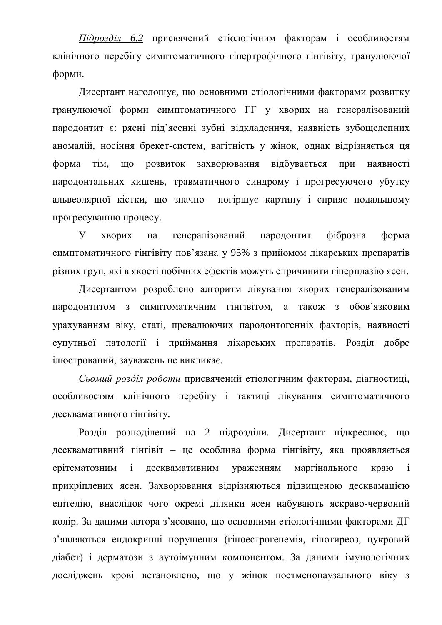*Підрозділ* 6.2 присвячений етіологічним факторам і особливостям клінічного перебігу симптоматичного гіпертрофічного гінгівіту, гранулюючої форми.

Дисертант наголошує, що основними етіологічними факторами розвитку гранулюючої форми симптоматичного ГГ у хворих на генералізований пародонтит є: рясні під'ясенні зубні відкладеннчя, наявність зубощелепних аномалій, носіння брекет-систем, вагітність у жінок, однак відрізняється ця форма тім, що розвиток захворювання відбувається при наявності пародонтальних кишень, травматичного синдрому і прогресуючого убутку альвеолярної кістки, що значно погіршує картину і сприяє подальшому прогресуванню процесу.

У хворих на генералізований пародонтит фіброзна форма симптоматичного гінгівіту пов'язана у 95% з прийомом лікарських препаратів різних груп, які в якості побічних ефектів можуть спричинити гіперплазію ясен.

Дисертантом розроблено алгоритм лікування хворих генералізованим пародонтитом з симптоматичним гінгівітом, а також з обов'язковим урахуванням віку, статі, превалюючих пародонтогенніх факторів, наявності супутньої патології і приймання лікарських препаратів. Розділ добре ілюстрований, зауважень не викликає.

Сьомий розділ роботи присвячений етіологічним факторам, діагностиці, особливостям клінічного перебігу і тактиці лікування симптоматичного десквамативного гінгівіту.

Розділ розподілений на 2 підрозділи. Дисертант підкреслює, що десквамативний гінгівіт – це особлива форма гінгівіту, яка проявляється ерітематозним і десквамативним ураженням маргінального краю і прикріплених ясен. Захворювання відрізняються підвищеною десквамацією епітелію, внаслідок чого окремі ділянки ясен набувають яскраво-червоний колір. За даними автора з'ясовано, що основними етіологічними факторами ДГ з'являються ендокринні порушення (гіпоестрогенемія, гіпотиреоз, цукровий діабет) і дерматози з аутоімунним компонентом. За даними імунологічних досліджень крові встановлено, що у жінок постменопаузального віку з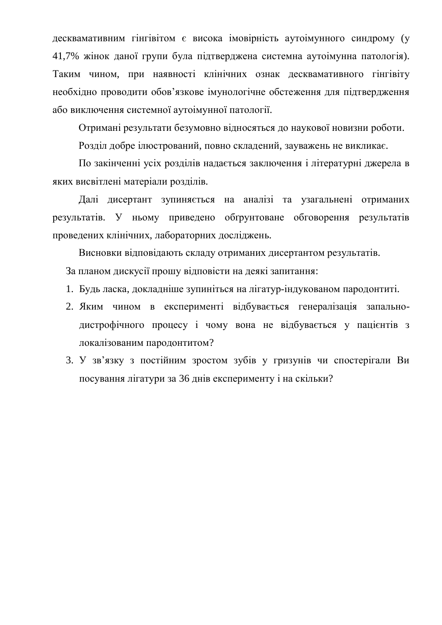десквамативним гінгівітом є висока імовірність аутоімунного синдрому (у 41.7% жінок даної групи була підтверджена системна аутоімунна патологія). Таким чином, при наявності клінічних ознак десквамативного гінгівіту необхідно проводити обов'язкове імунологічне обстеження для підтвердження або виключення системної аутоімунної патології.

Отримані результати безумовно відносяться до наукової новизни роботи.

Розділ добре ілюстрований, повно складений, зауважень не викликає.

По закінченні усіх розділів надається заключення і літературні джерела в яких висвітлені матеріали розділів.

Далі дисертант зупиняється на аналізі та узагальнені отриманих результатів. У ньому приведено обґрунтоване обговорення результатів провелених клінічних, лабораторних лосліджень.

Висновки відповідають складу отриманих дисертантом результатів. За планом дискусії прошу відповісти на деякі запитання:

- 1. Будь ласка, докладніше зупиніться на лігатур-індукованом пародонтиті.
- 2. Яким чином в експерименті відбувається генералізація запальнодистрофічного процесу і чому вона не відбувається у пацієнтів з локалізованим пародонтитом?
- 3. У зв'язку з постійним зростом зубів у гризунів чи спостерігали Ви посування лігатури за 36 днів експерименту і на скільки?